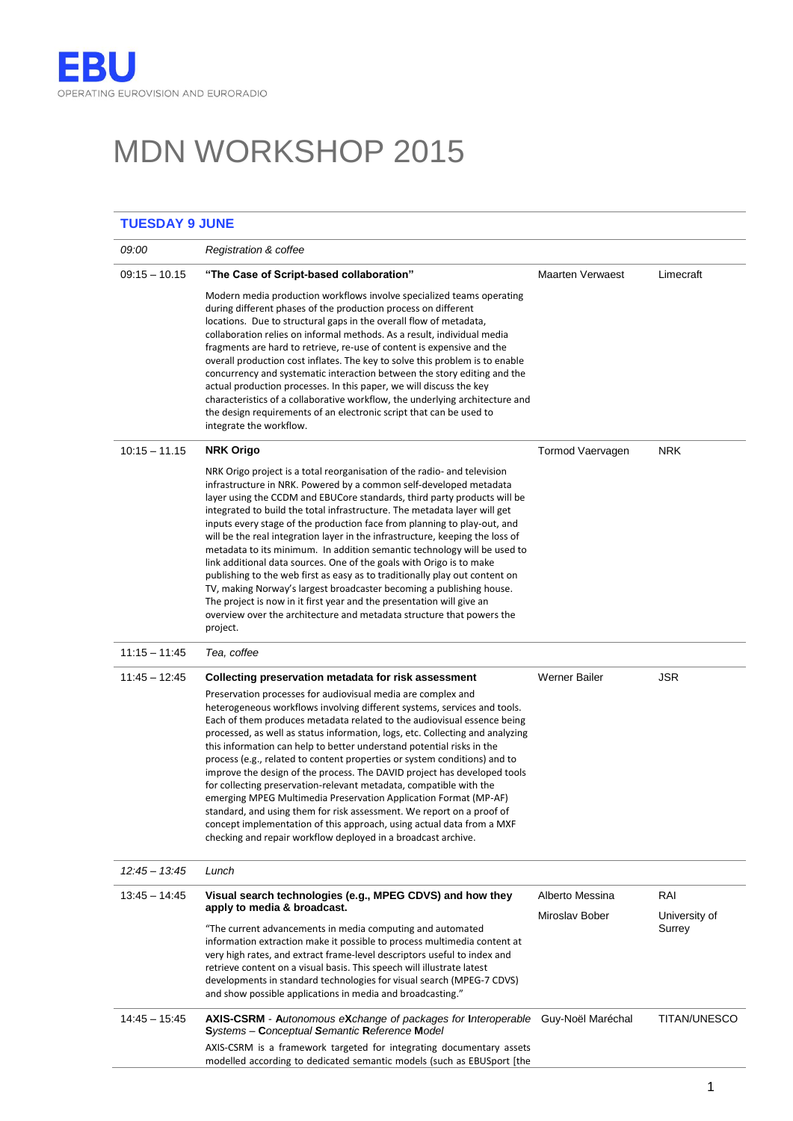# MDN WORKSHOP 2015

| <b>TUESDAY 9 JUNE</b> |                                                                                                                                                                                                                                                                                                                                                                                                                                                                                                                                                                                                                                                                                                                                                                                                                                                                                                                                               |                   |                     |  |
|-----------------------|-----------------------------------------------------------------------------------------------------------------------------------------------------------------------------------------------------------------------------------------------------------------------------------------------------------------------------------------------------------------------------------------------------------------------------------------------------------------------------------------------------------------------------------------------------------------------------------------------------------------------------------------------------------------------------------------------------------------------------------------------------------------------------------------------------------------------------------------------------------------------------------------------------------------------------------------------|-------------------|---------------------|--|
| 09:00                 | Registration & coffee                                                                                                                                                                                                                                                                                                                                                                                                                                                                                                                                                                                                                                                                                                                                                                                                                                                                                                                         |                   |                     |  |
| $09:15 - 10.15$       | "The Case of Script-based collaboration"                                                                                                                                                                                                                                                                                                                                                                                                                                                                                                                                                                                                                                                                                                                                                                                                                                                                                                      | Maarten Verwaest  | Limecraft           |  |
|                       | Modern media production workflows involve specialized teams operating<br>during different phases of the production process on different<br>locations. Due to structural gaps in the overall flow of metadata,<br>collaboration relies on informal methods. As a result, individual media<br>fragments are hard to retrieve, re-use of content is expensive and the<br>overall production cost inflates. The key to solve this problem is to enable<br>concurrency and systematic interaction between the story editing and the<br>actual production processes. In this paper, we will discuss the key<br>characteristics of a collaborative workflow, the underlying architecture and<br>the design requirements of an electronic script that can be used to<br>integrate the workflow.                                                                                                                                                       |                   |                     |  |
| $10:15 - 11.15$       | <b>NRK Origo</b>                                                                                                                                                                                                                                                                                                                                                                                                                                                                                                                                                                                                                                                                                                                                                                                                                                                                                                                              | Tormod Vaervagen  | <b>NRK</b>          |  |
|                       | NRK Origo project is a total reorganisation of the radio- and television<br>infrastructure in NRK. Powered by a common self-developed metadata<br>layer using the CCDM and EBUCore standards, third party products will be<br>integrated to build the total infrastructure. The metadata layer will get<br>inputs every stage of the production face from planning to play-out, and<br>will be the real integration layer in the infrastructure, keeping the loss of<br>metadata to its minimum. In addition semantic technology will be used to<br>link additional data sources. One of the goals with Origo is to make<br>publishing to the web first as easy as to traditionally play out content on<br>TV, making Norway's largest broadcaster becoming a publishing house.<br>The project is now in it first year and the presentation will give an<br>overview over the architecture and metadata structure that powers the<br>project. |                   |                     |  |
| $11:15 - 11:45$       | Tea, coffee                                                                                                                                                                                                                                                                                                                                                                                                                                                                                                                                                                                                                                                                                                                                                                                                                                                                                                                                   |                   |                     |  |
| $11:45 - 12:45$       | Collecting preservation metadata for risk assessment                                                                                                                                                                                                                                                                                                                                                                                                                                                                                                                                                                                                                                                                                                                                                                                                                                                                                          | Werner Bailer     | <b>JSR</b>          |  |
|                       | Preservation processes for audiovisual media are complex and<br>heterogeneous workflows involving different systems, services and tools.<br>Each of them produces metadata related to the audiovisual essence being<br>processed, as well as status information, logs, etc. Collecting and analyzing<br>this information can help to better understand potential risks in the<br>process (e.g., related to content properties or system conditions) and to<br>improve the design of the process. The DAVID project has developed tools<br>for collecting preservation-relevant metadata, compatible with the<br>emerging MPEG Multimedia Preservation Application Format (MP-AF)<br>standard, and using them for risk assessment. We report on a proof of<br>concept implementation of this approach, using actual data from a MXF<br>checking and repair workflow deployed in a broadcast archive.                                           |                   |                     |  |
| $12:45 - 13:45$       | Lunch                                                                                                                                                                                                                                                                                                                                                                                                                                                                                                                                                                                                                                                                                                                                                                                                                                                                                                                                         |                   |                     |  |
| 13:45 - 14:45         | Visual search technologies (e.g., MPEG CDVS) and how they                                                                                                                                                                                                                                                                                                                                                                                                                                                                                                                                                                                                                                                                                                                                                                                                                                                                                     | Alberto Messina   | RAI                 |  |
|                       | apply to media & broadcast.                                                                                                                                                                                                                                                                                                                                                                                                                                                                                                                                                                                                                                                                                                                                                                                                                                                                                                                   | Miroslav Bober    | University of       |  |
|                       | "The current advancements in media computing and automated<br>information extraction make it possible to process multimedia content at<br>very high rates, and extract frame-level descriptors useful to index and<br>retrieve content on a visual basis. This speech will illustrate latest<br>developments in standard technologies for visual search (MPEG-7 CDVS)<br>and show possible applications in media and broadcasting."                                                                                                                                                                                                                                                                                                                                                                                                                                                                                                           |                   | Surrey              |  |
| $14:45 - 15:45$       | AXIS-CSRM - Autonomous eXchange of packages for Interoperable<br>Systems - Conceptual Semantic Reference Model                                                                                                                                                                                                                                                                                                                                                                                                                                                                                                                                                                                                                                                                                                                                                                                                                                | Guy-Noël Maréchal | <b>TITAN/UNESCO</b> |  |
|                       | AXIS-CSRM is a framework targeted for integrating documentary assets<br>modelled according to dedicated semantic models (such as EBUSport [the                                                                                                                                                                                                                                                                                                                                                                                                                                                                                                                                                                                                                                                                                                                                                                                                |                   |                     |  |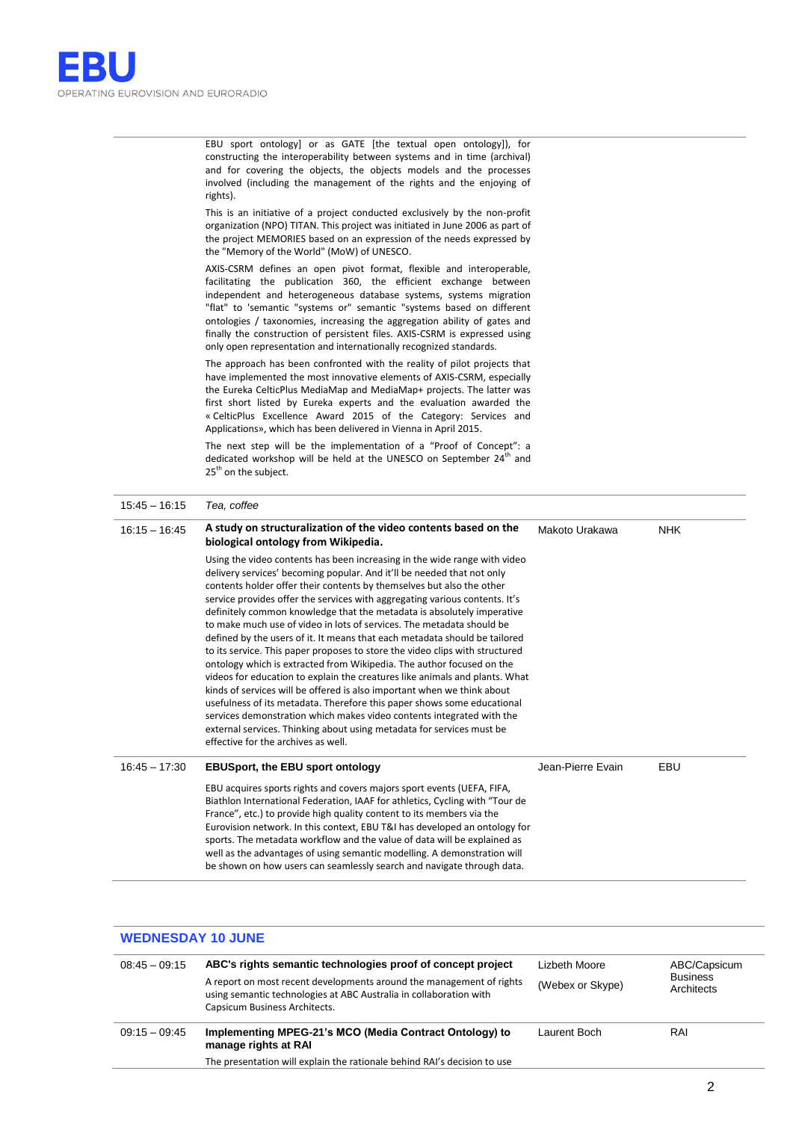EBU sport ontology] or as GATE [the textual open ontology]), for constructing the interoperability between systems and in time (archival) and for covering the objects, the objects models and the processes involved (including the management of the rights and the enjoying of rights).

This is an initiative of a project conducted exclusively by the non-profit organization (NPO) TITAN. This project was initiated in June 2006 as part of the project MEMORIES based on an expression of the needs expressed by the "Memory of the World" (MoW) of UNESCO.

AXIS-CSRM defines an open pivot format, flexible and interoperable, facilitating the publication 360, the efficient exchange between independent and heterogeneous database systems, systems migration "flat" to 'semantic "systems or" semantic "systems based on different ontologies / taxonomies, increasing the aggregation ability of gates and finally the construction of persistent files. AXIS-CSRM is expressed using only open representation and internationally recognized standards.

The approach has been confronted with the reality of pilot projects that have implemented the most innovative elements of AXIS-CSRM, especially the Eureka CelticPlus MediaMap and MediaMap+ projects. The latter was first short listed by Eureka experts and the evaluation awarded the « CelticPlus Excellence Award 2015 of the Category: Services and Applications», which has been delivered in Vienna in April 2015.

The next step will be the implementation of a "Proof of Concept": a dedicated workshop will be held at the UNESCO on September 24<sup>th</sup> and 25<sup>th</sup> on the subject.

| $15:45 - 16:15$ | Tea, coffee                                                                                                                                                                                                                                                                                                                                                                                                                                                                                                                                                                                                                                                                                                                                                                                                                                                                                                                                                                                                                                                                                                                         |                   |            |
|-----------------|-------------------------------------------------------------------------------------------------------------------------------------------------------------------------------------------------------------------------------------------------------------------------------------------------------------------------------------------------------------------------------------------------------------------------------------------------------------------------------------------------------------------------------------------------------------------------------------------------------------------------------------------------------------------------------------------------------------------------------------------------------------------------------------------------------------------------------------------------------------------------------------------------------------------------------------------------------------------------------------------------------------------------------------------------------------------------------------------------------------------------------------|-------------------|------------|
| $16:15 - 16:45$ | A study on structuralization of the video contents based on the<br>biological ontology from Wikipedia.                                                                                                                                                                                                                                                                                                                                                                                                                                                                                                                                                                                                                                                                                                                                                                                                                                                                                                                                                                                                                              | Makoto Urakawa    | <b>NHK</b> |
|                 | Using the video contents has been increasing in the wide range with video<br>delivery services' becoming popular. And it'll be needed that not only<br>contents holder offer their contents by themselves but also the other<br>service provides offer the services with aggregating various contents. It's<br>definitely common knowledge that the metadata is absolutely imperative<br>to make much use of video in lots of services. The metadata should be<br>defined by the users of it. It means that each metadata should be tailored<br>to its service. This paper proposes to store the video clips with structured<br>ontology which is extracted from Wikipedia. The author focused on the<br>videos for education to explain the creatures like animals and plants. What<br>kinds of services will be offered is also important when we think about<br>usefulness of its metadata. Therefore this paper shows some educational<br>services demonstration which makes video contents integrated with the<br>external services. Thinking about using metadata for services must be<br>effective for the archives as well. |                   |            |
| $16:45 - 17:30$ | <b>EBUSport, the EBU sport ontology</b>                                                                                                                                                                                                                                                                                                                                                                                                                                                                                                                                                                                                                                                                                                                                                                                                                                                                                                                                                                                                                                                                                             | Jean-Pierre Evain | EBU        |
|                 | EBU acquires sports rights and covers majors sport events (UEFA, FIFA,<br>Biathlon International Federation, IAAF for athletics, Cycling with "Tour de<br>France", etc.) to provide high quality content to its members via the<br>Eurovision network. In this context, EBU T&I has developed an ontology for<br>sports. The metadata workflow and the value of data will be explained as<br>well as the advantages of using semantic modelling. A demonstration will<br>be shown on how users can seamlessly search and navigate through data.                                                                                                                                                                                                                                                                                                                                                                                                                                                                                                                                                                                     |                   |            |

#### **WEDNESDAY 10 JUNE**

| $08:45 - 09:15$ | ABC's rights semantic technologies proof of concept project<br>A report on most recent developments around the management of rights<br>using semantic technologies at ABC Australia in collaboration with<br>Capsicum Business Architects. | Lizbeth Moore<br>(Webex or Skype) | ABC/Capsicum<br><b>Business</b><br>Architects |
|-----------------|--------------------------------------------------------------------------------------------------------------------------------------------------------------------------------------------------------------------------------------------|-----------------------------------|-----------------------------------------------|
| $09:15 - 09:45$ | Implementing MPEG-21's MCO (Media Contract Ontology) to<br>manage rights at RAI<br>The presentation will explain the rationale behind RAI's decision to use                                                                                | Laurent Boch                      | RAI                                           |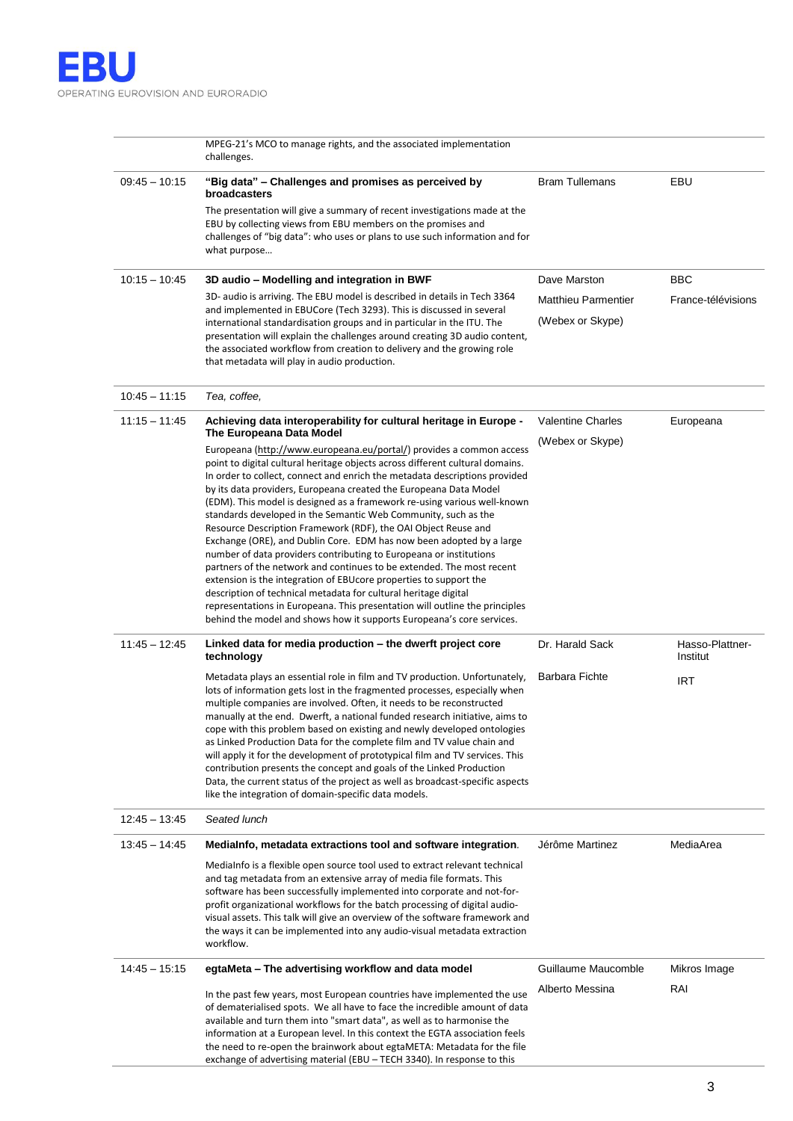

|                 | MPEG-21's MCO to manage rights, and the associated implementation<br>challenges.                                                                                                                                                                                                                                                                                                                                                                                                                                                                                                                                                                                                                                                                                                                                                                                                                                                                                                                                                                                                                                                                  |                                                                |                             |
|-----------------|---------------------------------------------------------------------------------------------------------------------------------------------------------------------------------------------------------------------------------------------------------------------------------------------------------------------------------------------------------------------------------------------------------------------------------------------------------------------------------------------------------------------------------------------------------------------------------------------------------------------------------------------------------------------------------------------------------------------------------------------------------------------------------------------------------------------------------------------------------------------------------------------------------------------------------------------------------------------------------------------------------------------------------------------------------------------------------------------------------------------------------------------------|----------------------------------------------------------------|-----------------------------|
| $09:45 - 10:15$ | "Big data" - Challenges and promises as perceived by<br>broadcasters<br>The presentation will give a summary of recent investigations made at the<br>EBU by collecting views from EBU members on the promises and<br>challenges of "big data": who uses or plans to use such information and for<br>what purpose                                                                                                                                                                                                                                                                                                                                                                                                                                                                                                                                                                                                                                                                                                                                                                                                                                  | <b>Bram Tullemans</b>                                          | EBU                         |
| $10:15 - 10:45$ | 3D audio - Modelling and integration in BWF<br>3D- audio is arriving. The EBU model is described in details in Tech 3364<br>and implemented in EBUCore (Tech 3293). This is discussed in several<br>international standardisation groups and in particular in the ITU. The<br>presentation will explain the challenges around creating 3D audio content,<br>the associated workflow from creation to delivery and the growing role<br>that metadata will play in audio production.                                                                                                                                                                                                                                                                                                                                                                                                                                                                                                                                                                                                                                                                | Dave Marston<br><b>Matthieu Parmentier</b><br>(Webex or Skype) | BBC<br>France-télévisions   |
| $10:45 - 11:15$ | Tea, coffee,                                                                                                                                                                                                                                                                                                                                                                                                                                                                                                                                                                                                                                                                                                                                                                                                                                                                                                                                                                                                                                                                                                                                      |                                                                |                             |
| $11:15 - 11:45$ | Achieving data interoperability for cultural heritage in Europe -<br>The Europeana Data Model<br>Europeana (http://www.europeana.eu/portal/) provides a common access<br>point to digital cultural heritage objects across different cultural domains.<br>In order to collect, connect and enrich the metadata descriptions provided<br>by its data providers, Europeana created the Europeana Data Model<br>(EDM). This model is designed as a framework re-using various well-known<br>standards developed in the Semantic Web Community, such as the<br>Resource Description Framework (RDF), the OAI Object Reuse and<br>Exchange (ORE), and Dublin Core. EDM has now been adopted by a large<br>number of data providers contributing to Europeana or institutions<br>partners of the network and continues to be extended. The most recent<br>extension is the integration of EBU core properties to support the<br>description of technical metadata for cultural heritage digital<br>representations in Europeana. This presentation will outline the principles<br>behind the model and shows how it supports Europeana's core services. | <b>Valentine Charles</b><br>(Webex or Skype)                   | Europeana                   |
| $11:45 - 12:45$ | Linked data for media production – the dwerft project core<br>technology                                                                                                                                                                                                                                                                                                                                                                                                                                                                                                                                                                                                                                                                                                                                                                                                                                                                                                                                                                                                                                                                          | Dr. Harald Sack                                                | Hasso-Plattner-<br>Institut |
|                 | Metadata plays an essential role in film and TV production. Unfortunately,<br>lots of information gets lost in the fragmented processes, especially when<br>multiple companies are involved. Often, it needs to be reconstructed<br>manually at the end. Dwerft, a national funded research initiative, aims to<br>cope with this problem based on existing and newly developed ontologies<br>as Linked Production Data for the complete film and TV value chain and<br>will apply it for the development of prototypical film and TV services. This<br>contribution presents the concept and goals of the Linked Production<br>Data, the current status of the project as well as broadcast-specific aspects<br>like the integration of domain-specific data models.                                                                                                                                                                                                                                                                                                                                                                             | Barbara Fichte                                                 | IRT                         |
| $12:45 - 13:45$ | Seated lunch                                                                                                                                                                                                                                                                                                                                                                                                                                                                                                                                                                                                                                                                                                                                                                                                                                                                                                                                                                                                                                                                                                                                      |                                                                |                             |
| $13:45 - 14:45$ | MediaInfo, metadata extractions tool and software integration.<br>MediaInfo is a flexible open source tool used to extract relevant technical<br>and tag metadata from an extensive array of media file formats. This<br>software has been successfully implemented into corporate and not-for-<br>profit organizational workflows for the batch processing of digital audio-<br>visual assets. This talk will give an overview of the software framework and<br>the ways it can be implemented into any audio-visual metadata extraction<br>workflow.                                                                                                                                                                                                                                                                                                                                                                                                                                                                                                                                                                                            | Jérôme Martinez                                                | MediaArea                   |
| $14:45 - 15:15$ | egtaMeta - The advertising workflow and data model                                                                                                                                                                                                                                                                                                                                                                                                                                                                                                                                                                                                                                                                                                                                                                                                                                                                                                                                                                                                                                                                                                | Guillaume Maucomble                                            | Mikros Image                |
|                 | In the past few years, most European countries have implemented the use<br>of dematerialised spots. We all have to face the incredible amount of data<br>available and turn them into "smart data", as well as to harmonise the<br>information at a European level. In this context the EGTA association feels<br>the need to re-open the brainwork about egtaMETA: Metadata for the file<br>exchange of advertising material (EBU – TECH 3340). In response to this                                                                                                                                                                                                                                                                                                                                                                                                                                                                                                                                                                                                                                                                              | Alberto Messina                                                | RAI                         |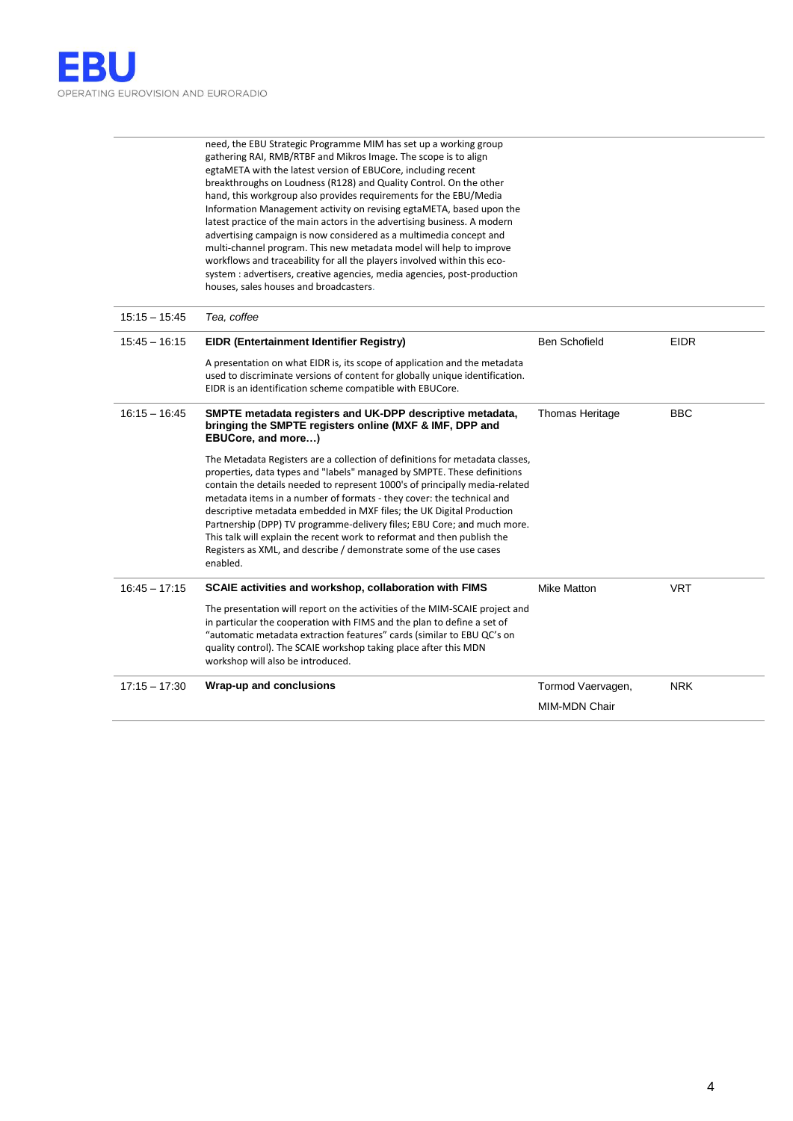need, the EBU Strategic Programme MIM has set up a working group gathering RAI, RMB/RTBF and Mikros Image. The scope is to align egtaMETA with the latest version of EBUCore, including recent breakthroughs on Loudness (R128) and Quality Control. On the other hand, this workgroup also provides requirements for the EBU/Media Information Management activity on revising egtaMETA, based upon the latest practice of the main actors in the advertising business. A modern advertising campaign is now considered as a multimedia concept and multi-channel program. This new metadata model will help to improve workflows and traceability for all the players involved within this ecosystem : advertisers, creative agencies, media agencies, post-production houses, sales houses and broadcasters.

| $15:15 - 15:45$ | Tea, coffee                                                                                                                                                                                                                                                                                                                                                                                                                                                                                                                                                                                                                      |                        |             |
|-----------------|----------------------------------------------------------------------------------------------------------------------------------------------------------------------------------------------------------------------------------------------------------------------------------------------------------------------------------------------------------------------------------------------------------------------------------------------------------------------------------------------------------------------------------------------------------------------------------------------------------------------------------|------------------------|-------------|
| $15:45 - 16:15$ | <b>EIDR (Entertainment Identifier Registry)</b>                                                                                                                                                                                                                                                                                                                                                                                                                                                                                                                                                                                  | <b>Ben Schofield</b>   | <b>EIDR</b> |
|                 | A presentation on what EIDR is, its scope of application and the metadata<br>used to discriminate versions of content for globally unique identification.<br>EIDR is an identification scheme compatible with EBUCore.                                                                                                                                                                                                                                                                                                                                                                                                           |                        |             |
| $16:15 - 16:45$ | SMPTE metadata registers and UK-DPP descriptive metadata,<br>bringing the SMPTE registers online (MXF & IMF, DPP and<br>EBUCore, and more)                                                                                                                                                                                                                                                                                                                                                                                                                                                                                       | <b>Thomas Heritage</b> | <b>BBC</b>  |
|                 | The Metadata Registers are a collection of definitions for metadata classes,<br>properties, data types and "labels" managed by SMPTE. These definitions<br>contain the details needed to represent 1000's of principally media-related<br>metadata items in a number of formats - they cover: the technical and<br>descriptive metadata embedded in MXF files; the UK Digital Production<br>Partnership (DPP) TV programme-delivery files; EBU Core; and much more.<br>This talk will explain the recent work to reformat and then publish the<br>Registers as XML, and describe / demonstrate some of the use cases<br>enabled. |                        |             |
| $16:45 - 17:15$ | SCAIE activities and workshop, collaboration with FIMS                                                                                                                                                                                                                                                                                                                                                                                                                                                                                                                                                                           | <b>Mike Matton</b>     | <b>VRT</b>  |
|                 | The presentation will report on the activities of the MIM-SCAIE project and<br>in particular the cooperation with FIMS and the plan to define a set of<br>"automatic metadata extraction features" cards (similar to EBU QC's on<br>quality control). The SCAIE workshop taking place after this MDN<br>workshop will also be introduced.                                                                                                                                                                                                                                                                                        |                        |             |
| $17:15 - 17:30$ | Wrap-up and conclusions                                                                                                                                                                                                                                                                                                                                                                                                                                                                                                                                                                                                          | Tormod Vaervagen,      | <b>NRK</b>  |
|                 |                                                                                                                                                                                                                                                                                                                                                                                                                                                                                                                                                                                                                                  | <b>MIM-MDN Chair</b>   |             |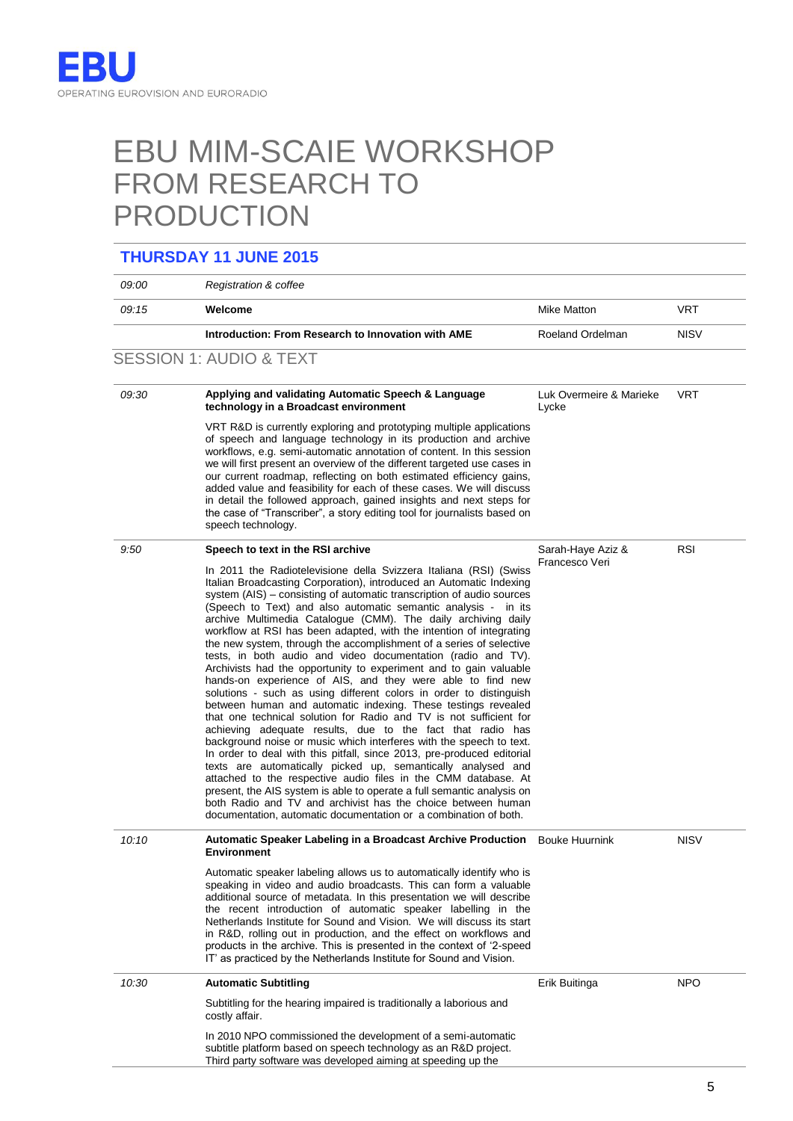## EBU MIM-SCAIE WORKSHOP FROM RESEARCH TO PRODUCTION

### **THURSDAY 11 JUNE 2015**

| 09:00 | Registration & coffee                                                                                                                                                                                                                                                                                                                                                                                                                                                                                                                                                                                                                                                                                                                                                                                                                                                                                                                                                                                                                                                                                                                                                                                                                                                                                                                                                                                                                                                             |                                     |             |
|-------|-----------------------------------------------------------------------------------------------------------------------------------------------------------------------------------------------------------------------------------------------------------------------------------------------------------------------------------------------------------------------------------------------------------------------------------------------------------------------------------------------------------------------------------------------------------------------------------------------------------------------------------------------------------------------------------------------------------------------------------------------------------------------------------------------------------------------------------------------------------------------------------------------------------------------------------------------------------------------------------------------------------------------------------------------------------------------------------------------------------------------------------------------------------------------------------------------------------------------------------------------------------------------------------------------------------------------------------------------------------------------------------------------------------------------------------------------------------------------------------|-------------------------------------|-------------|
| 09:15 | Welcome                                                                                                                                                                                                                                                                                                                                                                                                                                                                                                                                                                                                                                                                                                                                                                                                                                                                                                                                                                                                                                                                                                                                                                                                                                                                                                                                                                                                                                                                           | Mike Matton                         | <b>VRT</b>  |
|       | Introduction: From Research to Innovation with AME                                                                                                                                                                                                                                                                                                                                                                                                                                                                                                                                                                                                                                                                                                                                                                                                                                                                                                                                                                                                                                                                                                                                                                                                                                                                                                                                                                                                                                | Roeland Ordelman                    | <b>NISV</b> |
|       | <b>SESSION 1: AUDIO &amp; TEXT</b>                                                                                                                                                                                                                                                                                                                                                                                                                                                                                                                                                                                                                                                                                                                                                                                                                                                                                                                                                                                                                                                                                                                                                                                                                                                                                                                                                                                                                                                |                                     |             |
| 09:30 | Applying and validating Automatic Speech & Language<br>technology in a Broadcast environment                                                                                                                                                                                                                                                                                                                                                                                                                                                                                                                                                                                                                                                                                                                                                                                                                                                                                                                                                                                                                                                                                                                                                                                                                                                                                                                                                                                      | Luk Overmeire & Marieke<br>Lycke    | VRT         |
|       | VRT R&D is currently exploring and prototyping multiple applications<br>of speech and language technology in its production and archive<br>workflows, e.g. semi-automatic annotation of content. In this session<br>we will first present an overview of the different targeted use cases in<br>our current roadmap, reflecting on both estimated efficiency gains,<br>added value and feasibility for each of these cases. We will discuss<br>in detail the followed approach, gained insights and next steps for<br>the case of "Transcriber", a story editing tool for journalists based on<br>speech technology.                                                                                                                                                                                                                                                                                                                                                                                                                                                                                                                                                                                                                                                                                                                                                                                                                                                              |                                     |             |
| 9:50  | Speech to text in the RSI archive                                                                                                                                                                                                                                                                                                                                                                                                                                                                                                                                                                                                                                                                                                                                                                                                                                                                                                                                                                                                                                                                                                                                                                                                                                                                                                                                                                                                                                                 | Sarah-Haye Aziz &<br>Francesco Veri | <b>RSI</b>  |
|       | In 2011 the Radiotelevisione della Svizzera Italiana (RSI) (Swiss<br>Italian Broadcasting Corporation), introduced an Automatic Indexing<br>system (AIS) - consisting of automatic transcription of audio sources<br>(Speech to Text) and also automatic semantic analysis - in its<br>archive Multimedia Catalogue (CMM). The daily archiving daily<br>workflow at RSI has been adapted, with the intention of integrating<br>the new system, through the accomplishment of a series of selective<br>tests, in both audio and video documentation (radio and TV).<br>Archivists had the opportunity to experiment and to gain valuable<br>hands-on experience of AIS, and they were able to find new<br>solutions - such as using different colors in order to distinguish<br>between human and automatic indexing. These testings revealed<br>that one technical solution for Radio and TV is not sufficient for<br>achieving adequate results, due to the fact that radio has<br>background noise or music which interferes with the speech to text.<br>In order to deal with this pitfall, since 2013, pre-produced editorial<br>texts are automatically picked up, semantically analysed and<br>attached to the respective audio files in the CMM database. At<br>present, the AIS system is able to operate a full semantic analysis on<br>both Radio and TV and archivist has the choice between human<br>documentation, automatic documentation or a combination of both. |                                     |             |
| 10:10 | <b>Automatic Speaker Labeling in a Broadcast Archive Production</b> Bouke Huurnink<br><b>Environment</b>                                                                                                                                                                                                                                                                                                                                                                                                                                                                                                                                                                                                                                                                                                                                                                                                                                                                                                                                                                                                                                                                                                                                                                                                                                                                                                                                                                          |                                     | <b>NISV</b> |
|       | Automatic speaker labeling allows us to automatically identify who is<br>speaking in video and audio broadcasts. This can form a valuable<br>additional source of metadata. In this presentation we will describe<br>the recent introduction of automatic speaker labelling in the<br>Netherlands Institute for Sound and Vision. We will discuss its start<br>in R&D, rolling out in production, and the effect on workflows and<br>products in the archive. This is presented in the context of '2-speed<br>IT' as practiced by the Netherlands Institute for Sound and Vision.                                                                                                                                                                                                                                                                                                                                                                                                                                                                                                                                                                                                                                                                                                                                                                                                                                                                                                 |                                     |             |
| 10:30 | <b>Automatic Subtitling</b>                                                                                                                                                                                                                                                                                                                                                                                                                                                                                                                                                                                                                                                                                                                                                                                                                                                                                                                                                                                                                                                                                                                                                                                                                                                                                                                                                                                                                                                       | Erik Buitinga                       | <b>NPO</b>  |
|       | Subtitling for the hearing impaired is traditionally a laborious and<br>costly affair.                                                                                                                                                                                                                                                                                                                                                                                                                                                                                                                                                                                                                                                                                                                                                                                                                                                                                                                                                                                                                                                                                                                                                                                                                                                                                                                                                                                            |                                     |             |
|       | In 2010 NPO commissioned the development of a semi-automatic<br>subtitle platform based on speech technology as an R&D project.<br>Third party software was developed aiming at speeding up the                                                                                                                                                                                                                                                                                                                                                                                                                                                                                                                                                                                                                                                                                                                                                                                                                                                                                                                                                                                                                                                                                                                                                                                                                                                                                   |                                     |             |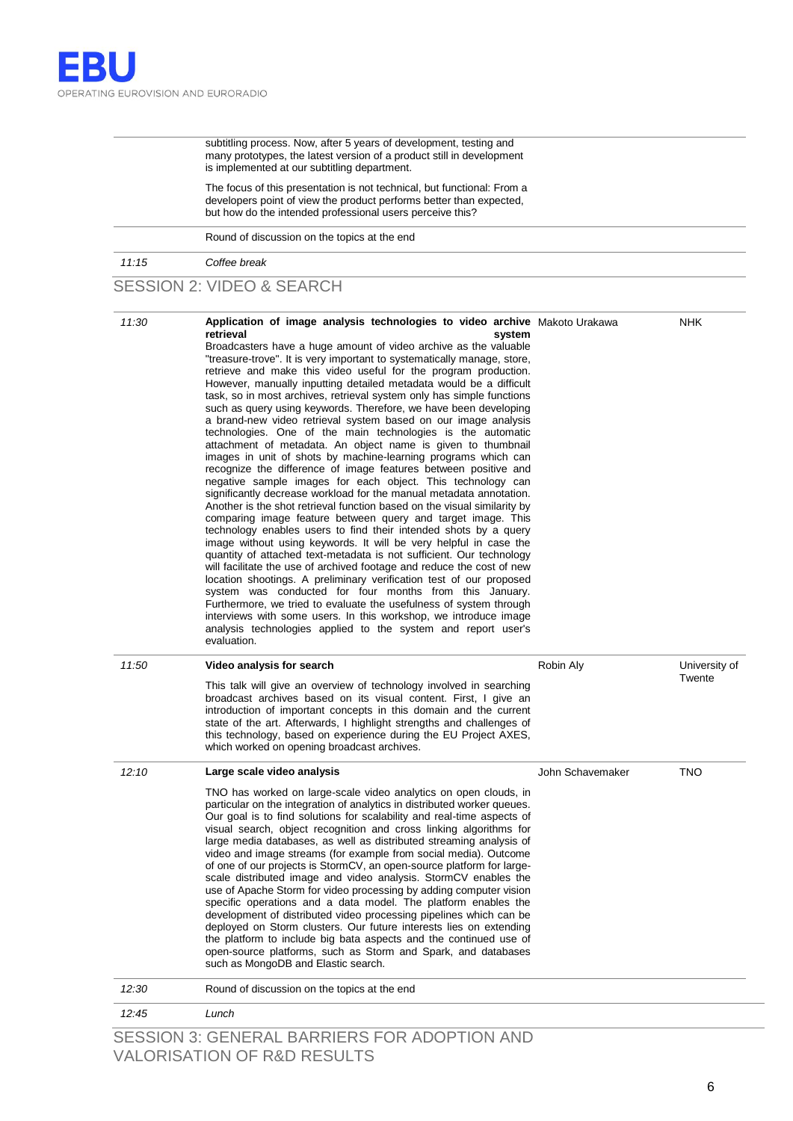subtitling process. Now, after 5 years of development, testing and many prototypes, the latest version of a product still in development is implemented at our subtitling department.

The focus of this presentation is not technical, but functional: From a developers point of view the product performs better than expected, but how do the intended professional users perceive this?

Round of discussion on the topics at the end

*11:15 Coffee break*

### SESSION 2: VIDEO & SEARCH

| 11:30 | Application of image analysis technologies to video archive Makoto Urakawa<br>retrieval<br>system<br>Broadcasters have a huge amount of video archive as the valuable<br>"treasure-trove". It is very important to systematically manage, store,<br>retrieve and make this video useful for the program production.<br>However, manually inputting detailed metadata would be a difficult<br>task, so in most archives, retrieval system only has simple functions<br>such as query using keywords. Therefore, we have been developing<br>a brand-new video retrieval system based on our image analysis<br>technologies. One of the main technologies is the automatic<br>attachment of metadata. An object name is given to thumbnail<br>images in unit of shots by machine-learning programs which can<br>recognize the difference of image features between positive and<br>negative sample images for each object. This technology can<br>significantly decrease workload for the manual metadata annotation.<br>Another is the shot retrieval function based on the visual similarity by<br>comparing image feature between query and target image. This<br>technology enables users to find their intended shots by a query<br>image without using keywords. It will be very helpful in case the<br>quantity of attached text-metadata is not sufficient. Our technology<br>will facilitate the use of archived footage and reduce the cost of new<br>location shootings. A preliminary verification test of our proposed<br>system was conducted for four months from this January.<br>Furthermore, we tried to evaluate the usefulness of system through<br>interviews with some users. In this workshop, we introduce image<br>analysis technologies applied to the system and report user's<br>evaluation. |                  | <b>NHK</b>              |
|-------|-----------------------------------------------------------------------------------------------------------------------------------------------------------------------------------------------------------------------------------------------------------------------------------------------------------------------------------------------------------------------------------------------------------------------------------------------------------------------------------------------------------------------------------------------------------------------------------------------------------------------------------------------------------------------------------------------------------------------------------------------------------------------------------------------------------------------------------------------------------------------------------------------------------------------------------------------------------------------------------------------------------------------------------------------------------------------------------------------------------------------------------------------------------------------------------------------------------------------------------------------------------------------------------------------------------------------------------------------------------------------------------------------------------------------------------------------------------------------------------------------------------------------------------------------------------------------------------------------------------------------------------------------------------------------------------------------------------------------------------------------------------------------------------------------------------------------|------------------|-------------------------|
| 11:50 | Video analysis for search<br>This talk will give an overview of technology involved in searching<br>broadcast archives based on its visual content. First, I give an<br>introduction of important concepts in this domain and the current<br>state of the art. Afterwards, I highlight strengths and challenges of<br>this technology, based on experience during the EU Project AXES,<br>which worked on opening broadcast archives.                                                                                                                                                                                                                                                                                                                                                                                                                                                                                                                                                                                                                                                                                                                                                                                                                                                                                                                                                                                                                                                                                                                                                                                                                                                                                                                                                                                 | Robin Aly        | University of<br>Twente |
| 12:10 | Large scale video analysis<br>TNO has worked on large-scale video analytics on open clouds, in<br>particular on the integration of analytics in distributed worker queues.<br>Our goal is to find solutions for scalability and real-time aspects of<br>visual search, object recognition and cross linking algorithms for<br>large media databases, as well as distributed streaming analysis of<br>video and image streams (for example from social media). Outcome<br>of one of our projects is StormCV, an open-source platform for large-<br>scale distributed image and video analysis. StormCV enables the<br>use of Apache Storm for video processing by adding computer vision<br>specific operations and a data model. The platform enables the<br>development of distributed video processing pipelines which can be<br>deployed on Storm clusters. Our future interests lies on extending<br>the platform to include big bata aspects and the continued use of<br>open-source platforms, such as Storm and Spark, and databases<br>such as MongoDB and Elastic search.                                                                                                                                                                                                                                                                                                                                                                                                                                                                                                                                                                                                                                                                                                                                    | John Schavemaker | <b>TNO</b>              |
| 12:30 | Round of discussion on the topics at the end                                                                                                                                                                                                                                                                                                                                                                                                                                                                                                                                                                                                                                                                                                                                                                                                                                                                                                                                                                                                                                                                                                                                                                                                                                                                                                                                                                                                                                                                                                                                                                                                                                                                                                                                                                          |                  |                         |
| 12:45 | Lunch                                                                                                                                                                                                                                                                                                                                                                                                                                                                                                                                                                                                                                                                                                                                                                                                                                                                                                                                                                                                                                                                                                                                                                                                                                                                                                                                                                                                                                                                                                                                                                                                                                                                                                                                                                                                                 |                  |                         |

SESSION 3: GENERAL BARRIERS FOR ADOPTION AND VALORISATION OF R&D RESULTS